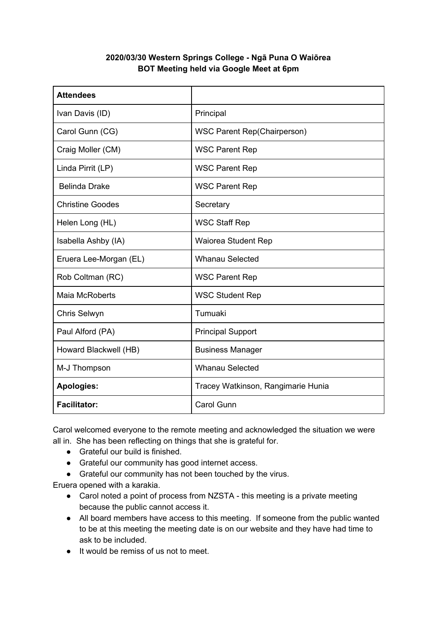## **2020/03/30 Western Springs College - Ngā Puna O Waiōrea BOT Meeting held via Google Meet at 6pm**

| <b>Attendees</b>        |                                    |
|-------------------------|------------------------------------|
| Ivan Davis (ID)         | Principal                          |
| Carol Gunn (CG)         | <b>WSC Parent Rep(Chairperson)</b> |
| Craig Moller (CM)       | <b>WSC Parent Rep</b>              |
| Linda Pirrit (LP)       | <b>WSC Parent Rep</b>              |
| <b>Belinda Drake</b>    | <b>WSC Parent Rep</b>              |
| <b>Christine Goodes</b> | Secretary                          |
| Helen Long (HL)         | <b>WSC Staff Rep</b>               |
| Isabella Ashby (IA)     | <b>Waiorea Student Rep</b>         |
| Eruera Lee-Morgan (EL)  | <b>Whanau Selected</b>             |
| Rob Coltman (RC)        | <b>WSC Parent Rep</b>              |
| <b>Maia McRoberts</b>   | <b>WSC Student Rep</b>             |
| Chris Selwyn            | Tumuaki                            |
| Paul Alford (PA)        | <b>Principal Support</b>           |
| Howard Blackwell (HB)   | <b>Business Manager</b>            |
| M-J Thompson            | <b>Whanau Selected</b>             |
| <b>Apologies:</b>       | Tracey Watkinson, Rangimarie Hunia |
| <b>Facilitator:</b>     | <b>Carol Gunn</b>                  |

Carol welcomed everyone to the remote meeting and acknowledged the situation we were all in. She has been reflecting on things that she is grateful for.

- Grateful our build is finished.
- Grateful our community has good internet access.
- Grateful our community has not been touched by the virus.

Eruera opened with a karakia.

- Carol noted a point of process from NZSTA this meeting is a private meeting because the public cannot access it.
- All board members have access to this meeting. If someone from the public wanted to be at this meeting the meeting date is on our website and they have had time to ask to be included.
- It would be remiss of us not to meet.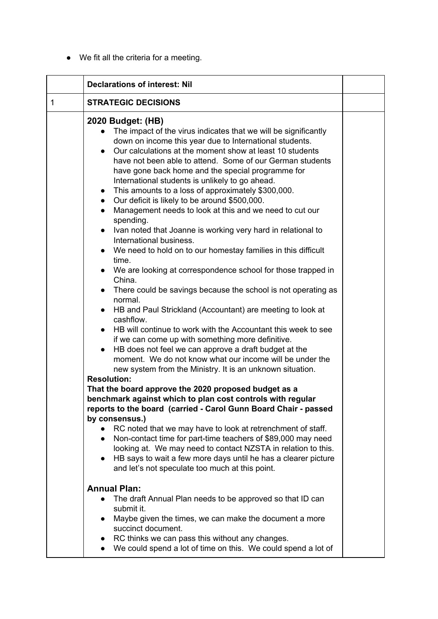● We fit all the criteria for a meeting.

|             | <b>Declarations of interest: Nil</b>                                                                                                                                                                                                                                                                                                                                                                                                                                                                                                                                                                                                                                                                                                                                                                                                                                                                                                                                                                                                                                                                                                                                                                                                                                                                                                                                                                                                                                                                                                                                                                                                                                                                                                                                                                                                                                                                                                                                               |  |
|-------------|------------------------------------------------------------------------------------------------------------------------------------------------------------------------------------------------------------------------------------------------------------------------------------------------------------------------------------------------------------------------------------------------------------------------------------------------------------------------------------------------------------------------------------------------------------------------------------------------------------------------------------------------------------------------------------------------------------------------------------------------------------------------------------------------------------------------------------------------------------------------------------------------------------------------------------------------------------------------------------------------------------------------------------------------------------------------------------------------------------------------------------------------------------------------------------------------------------------------------------------------------------------------------------------------------------------------------------------------------------------------------------------------------------------------------------------------------------------------------------------------------------------------------------------------------------------------------------------------------------------------------------------------------------------------------------------------------------------------------------------------------------------------------------------------------------------------------------------------------------------------------------------------------------------------------------------------------------------------------------|--|
| $\mathbf 1$ | <b>STRATEGIC DECISIONS</b>                                                                                                                                                                                                                                                                                                                                                                                                                                                                                                                                                                                                                                                                                                                                                                                                                                                                                                                                                                                                                                                                                                                                                                                                                                                                                                                                                                                                                                                                                                                                                                                                                                                                                                                                                                                                                                                                                                                                                         |  |
|             | 2020 Budget: (HB)<br>The impact of the virus indicates that we will be significantly<br>down on income this year due to International students.<br>Our calculations at the moment show at least 10 students<br>$\bullet$<br>have not been able to attend. Some of our German students<br>have gone back home and the special programme for<br>International students is unlikely to go ahead.<br>This amounts to a loss of approximately \$300,000.<br>$\bullet$<br>Our deficit is likely to be around \$500,000.<br>$\bullet$<br>Management needs to look at this and we need to cut our<br>$\bullet$<br>spending.<br>Ivan noted that Joanne is working very hard in relational to<br>$\bullet$<br>International business.<br>We need to hold on to our homestay families in this difficult<br>$\bullet$<br>time.<br>We are looking at correspondence school for those trapped in<br>$\bullet$<br>China.<br>There could be savings because the school is not operating as<br>normal.<br>HB and Paul Strickland (Accountant) are meeting to look at<br>$\bullet$<br>cashflow.<br>HB will continue to work with the Accountant this week to see<br>if we can come up with something more definitive.<br>HB does not feel we can approve a draft budget at the<br>$\bullet$<br>moment. We do not know what our income will be under the<br>new system from the Ministry. It is an unknown situation.<br><b>Resolution:</b><br>That the board approve the 2020 proposed budget as a<br>benchmark against which to plan cost controls with regular<br>reports to the board (carried - Carol Gunn Board Chair - passed<br>by consensus.)<br>RC noted that we may have to look at retrenchment of staff.<br>Non-contact time for part-time teachers of \$89,000 may need<br>$\bullet$<br>looking at. We may need to contact NZSTA in relation to this.<br>HB says to wait a few more days until he has a clearer picture<br>$\bullet$<br>and let's not speculate too much at this point. |  |
|             | <b>Annual Plan:</b><br>The draft Annual Plan needs to be approved so that ID can<br>$\bullet$<br>submit it.<br>Maybe given the times, we can make the document a more<br>$\bullet$<br>succinct document.<br>RC thinks we can pass this without any changes.<br>We could spend a lot of time on this. We could spend a lot of<br>$\bullet$                                                                                                                                                                                                                                                                                                                                                                                                                                                                                                                                                                                                                                                                                                                                                                                                                                                                                                                                                                                                                                                                                                                                                                                                                                                                                                                                                                                                                                                                                                                                                                                                                                          |  |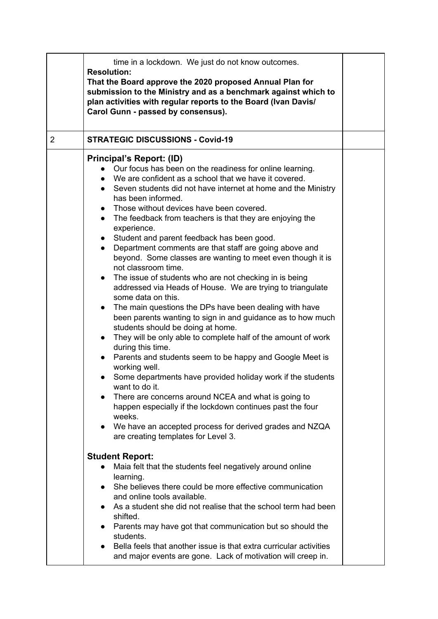|   | time in a lockdown. We just do not know outcomes.<br><b>Resolution:</b><br>That the Board approve the 2020 proposed Annual Plan for<br>submission to the Ministry and as a benchmark against which to<br>plan activities with regular reports to the Board (Ivan Davis/<br>Carol Gunn - passed by consensus).                                                                                                                                                                                                                                                                                                                                                                                                                                                                                                                                                                                                                                                                                                                                                                                                                                                                                                                                                                                                                                                                                                                                             |  |
|---|-----------------------------------------------------------------------------------------------------------------------------------------------------------------------------------------------------------------------------------------------------------------------------------------------------------------------------------------------------------------------------------------------------------------------------------------------------------------------------------------------------------------------------------------------------------------------------------------------------------------------------------------------------------------------------------------------------------------------------------------------------------------------------------------------------------------------------------------------------------------------------------------------------------------------------------------------------------------------------------------------------------------------------------------------------------------------------------------------------------------------------------------------------------------------------------------------------------------------------------------------------------------------------------------------------------------------------------------------------------------------------------------------------------------------------------------------------------|--|
| 2 | <b>STRATEGIC DISCUSSIONS - Covid-19</b>                                                                                                                                                                                                                                                                                                                                                                                                                                                                                                                                                                                                                                                                                                                                                                                                                                                                                                                                                                                                                                                                                                                                                                                                                                                                                                                                                                                                                   |  |
|   | Principal's Report: (ID)<br>Our focus has been on the readiness for online learning.<br>• We are confident as a school that we have it covered.<br>• Seven students did not have internet at home and the Ministry<br>has been informed.<br>Those without devices have been covered.<br>$\bullet$<br>The feedback from teachers is that they are enjoying the<br>$\bullet$<br>experience.<br>• Student and parent feedback has been good.<br>Department comments are that staff are going above and<br>$\bullet$<br>beyond. Some classes are wanting to meet even though it is<br>not classroom time.<br>The issue of students who are not checking in is being<br>addressed via Heads of House. We are trying to triangulate<br>some data on this.<br>The main questions the DPs have been dealing with have<br>$\bullet$<br>been parents wanting to sign in and guidance as to how much<br>students should be doing at home.<br>They will be only able to complete half of the amount of work<br>$\bullet$<br>during this time.<br>Parents and students seem to be happy and Google Meet is<br>working well.<br>Some departments have provided holiday work if the students<br>$\bullet$<br>want to do it.<br>There are concerns around NCEA and what is going to<br>happen especially if the lockdown continues past the four<br>weeks.<br>We have an accepted process for derived grades and NZQA<br>$\bullet$<br>are creating templates for Level 3. |  |
|   | <b>Student Report:</b><br>Maia felt that the students feel negatively around online                                                                                                                                                                                                                                                                                                                                                                                                                                                                                                                                                                                                                                                                                                                                                                                                                                                                                                                                                                                                                                                                                                                                                                                                                                                                                                                                                                       |  |
|   | learning.<br>She believes there could be more effective communication<br>$\bullet$                                                                                                                                                                                                                                                                                                                                                                                                                                                                                                                                                                                                                                                                                                                                                                                                                                                                                                                                                                                                                                                                                                                                                                                                                                                                                                                                                                        |  |
|   | and online tools available.<br>As a student she did not realise that the school term had been                                                                                                                                                                                                                                                                                                                                                                                                                                                                                                                                                                                                                                                                                                                                                                                                                                                                                                                                                                                                                                                                                                                                                                                                                                                                                                                                                             |  |
|   | shifted.<br>Parents may have got that communication but so should the<br>$\bullet$<br>students.<br>Bella feels that another issue is that extra curricular activities<br>and major events are gone. Lack of motivation will creep in.                                                                                                                                                                                                                                                                                                                                                                                                                                                                                                                                                                                                                                                                                                                                                                                                                                                                                                                                                                                                                                                                                                                                                                                                                     |  |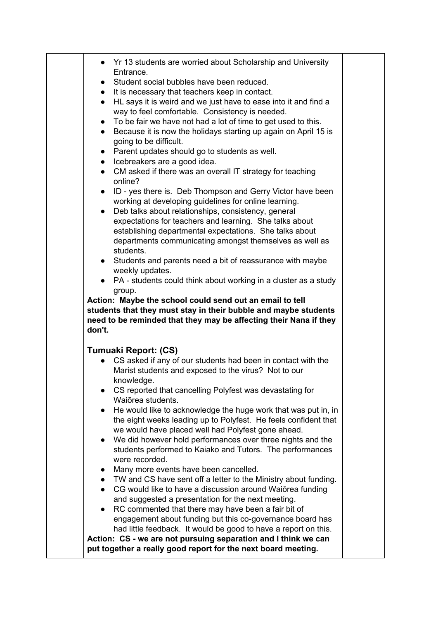| Yr 13 students are worried about Scholarship and University<br>$\bullet$                                                        |  |
|---------------------------------------------------------------------------------------------------------------------------------|--|
| Entrance.                                                                                                                       |  |
| Student social bubbles have been reduced.                                                                                       |  |
| It is necessary that teachers keep in contact.                                                                                  |  |
| HL says it is weird and we just have to ease into it and find a<br>$\bullet$                                                    |  |
| way to feel comfortable. Consistency is needed.                                                                                 |  |
| To be fair we have not had a lot of time to get used to this.<br>$\bullet$                                                      |  |
| Because it is now the holidays starting up again on April 15 is<br>$\bullet$                                                    |  |
| going to be difficult.                                                                                                          |  |
| Parent updates should go to students as well.<br>$\bullet$                                                                      |  |
| • Icebreakers are a good idea.                                                                                                  |  |
| CM asked if there was an overall IT strategy for teaching<br>$\bullet$<br>online?                                               |  |
| ID - yes there is. Deb Thompson and Gerry Victor have been<br>$\bullet$                                                         |  |
| working at developing guidelines for online learning.                                                                           |  |
| Deb talks about relationships, consistency, general<br>$\bullet$                                                                |  |
| expectations for teachers and learning. She talks about                                                                         |  |
| establishing departmental expectations. She talks about                                                                         |  |
| departments communicating amongst themselves as well as                                                                         |  |
| students.                                                                                                                       |  |
| Students and parents need a bit of reassurance with maybe<br>$\bullet$                                                          |  |
| weekly updates.                                                                                                                 |  |
| • PA - students could think about working in a cluster as a study                                                               |  |
| group.                                                                                                                          |  |
| Action: Maybe the school could send out an email to tell                                                                        |  |
| students that they must stay in their bubble and maybe students                                                                 |  |
| need to be reminded that they may be affecting their Nana if they                                                               |  |
| don't.                                                                                                                          |  |
| Tumuaki Report: (CS)                                                                                                            |  |
| CS asked if any of our students had been in contact with the                                                                    |  |
| Marist students and exposed to the virus? Not to our                                                                            |  |
| knowledge.                                                                                                                      |  |
| CS reported that cancelling Polyfest was devastating for                                                                        |  |
| Waiōrea students.                                                                                                               |  |
| He would like to acknowledge the huge work that was put in, in<br>$\bullet$                                                     |  |
| the eight weeks leading up to Polyfest. He feels confident that                                                                 |  |
| we would have placed well had Polyfest gone ahead.                                                                              |  |
| We did however hold performances over three nights and the<br>$\bullet$                                                         |  |
| students performed to Kaiako and Tutors. The performances                                                                       |  |
| were recorded.                                                                                                                  |  |
| Many more events have been cancelled.                                                                                           |  |
| • TW and CS have sent off a letter to the Ministry about funding.                                                               |  |
| CG would like to have a discussion around Waiōrea funding<br>$\bullet$                                                          |  |
| and suggested a presentation for the next meeting.                                                                              |  |
| RC commented that there may have been a fair bit of                                                                             |  |
| engagement about funding but this co-governance board has                                                                       |  |
| had little feedback. It would be good to have a report on this.                                                                 |  |
| Action: CS - we are not pursuing separation and I think we can<br>put together a really good report for the next board meeting. |  |
|                                                                                                                                 |  |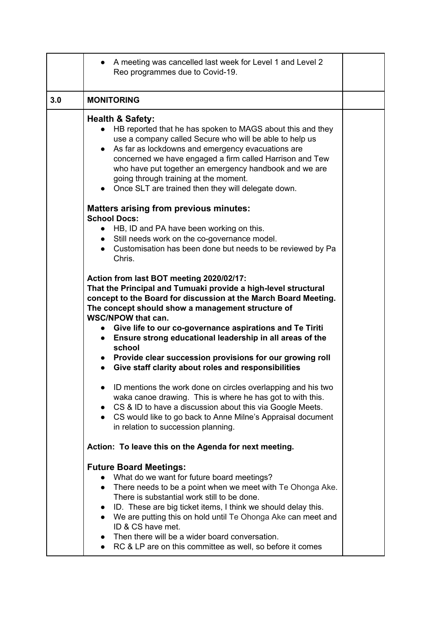|     | A meeting was cancelled last week for Level 1 and Level 2<br>Reo programmes due to Covid-19.                                                                                                                                                                                                                                                                                                                                                                                                                                        |  |
|-----|-------------------------------------------------------------------------------------------------------------------------------------------------------------------------------------------------------------------------------------------------------------------------------------------------------------------------------------------------------------------------------------------------------------------------------------------------------------------------------------------------------------------------------------|--|
| 3.0 | <b>MONITORING</b>                                                                                                                                                                                                                                                                                                                                                                                                                                                                                                                   |  |
|     | <b>Health &amp; Safety:</b><br>HB reported that he has spoken to MAGS about this and they<br>use a company called Secure who will be able to help us<br>As far as lockdowns and emergency evacuations are<br>$\bullet$<br>concerned we have engaged a firm called Harrison and Tew<br>who have put together an emergency handbook and we are<br>going through training at the moment.<br>• Once SLT are trained then they will delegate down.                                                                                       |  |
|     | <b>Matters arising from previous minutes:</b><br><b>School Docs:</b>                                                                                                                                                                                                                                                                                                                                                                                                                                                                |  |
|     | • HB, ID and PA have been working on this.<br>• Still needs work on the co-governance model.<br>• Customisation has been done but needs to be reviewed by Pa<br>Chris.                                                                                                                                                                                                                                                                                                                                                              |  |
|     | Action from last BOT meeting 2020/02/17:<br>That the Principal and Tumuaki provide a high-level structural<br>concept to the Board for discussion at the March Board Meeting.<br>The concept should show a management structure of<br><b>WSC/NPOW that can.</b><br>Give life to our co-governance aspirations and Te Tiriti<br>Ensure strong educational leadership in all areas of the<br>$\bullet$<br>school<br>• Provide clear succession provisions for our growing roll<br>Give staff clarity about roles and responsibilities |  |
|     | ID mentions the work done on circles overlapping and his two<br>waka canoe drawing. This is where he has got to with this.<br>CS & ID to have a discussion about this via Google Meets.<br>$\bullet$<br>CS would like to go back to Anne Milne's Appraisal document<br>$\bullet$<br>in relation to succession planning.                                                                                                                                                                                                             |  |
|     | Action: To leave this on the Agenda for next meeting.                                                                                                                                                                                                                                                                                                                                                                                                                                                                               |  |
|     | <b>Future Board Meetings:</b><br>What do we want for future board meetings?<br>There needs to be a point when we meet with Te Ohonga Ake.<br>$\bullet$<br>There is substantial work still to be done.<br>ID. These are big ticket items, I think we should delay this.<br>$\bullet$<br>We are putting this on hold until Te Ohonga Ake can meet and<br>$\bullet$<br>ID & CS have met.<br>Then there will be a wider board conversation.<br>$\bullet$<br>• RC & LP are on this committee as well, so before it comes                 |  |